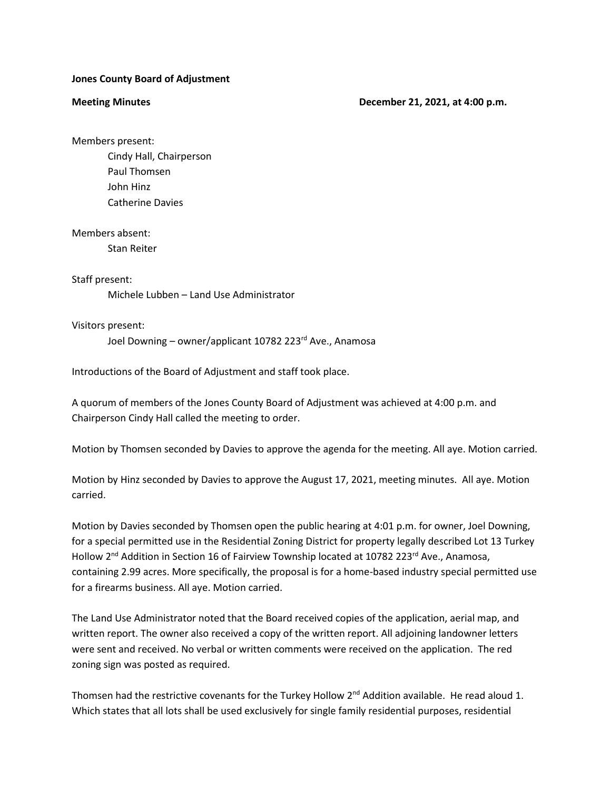### **Jones County Board of Adjustment**

#### **Meeting Minutes Contract Contract Contract Contract Contract December 21, 2021, at 4:00 p.m.**

Members present:

Cindy Hall, Chairperson Paul Thomsen John Hinz Catherine Davies

Members absent:

Stan Reiter

## Staff present:

Michele Lubben – Land Use Administrator

# Visitors present:

Joel Downing – owner/applicant 10782 223<sup>rd</sup> Ave., Anamosa

Introductions of the Board of Adjustment and staff took place.

A quorum of members of the Jones County Board of Adjustment was achieved at 4:00 p.m. and Chairperson Cindy Hall called the meeting to order.

Motion by Thomsen seconded by Davies to approve the agenda for the meeting. All aye. Motion carried.

Motion by Hinz seconded by Davies to approve the August 17, 2021, meeting minutes. All aye. Motion carried.

Motion by Davies seconded by Thomsen open the public hearing at 4:01 p.m. for owner, Joel Downing, for a special permitted use in the Residential Zoning District for property legally described Lot 13 Turkey Hollow 2<sup>nd</sup> Addition in Section 16 of Fairview Township located at 10782 223<sup>rd</sup> Ave., Anamosa, containing 2.99 acres. More specifically, the proposal is for a home-based industry special permitted use for a firearms business. All aye. Motion carried.

The Land Use Administrator noted that the Board received copies of the application, aerial map, and written report. The owner also received a copy of the written report. All adjoining landowner letters were sent and received. No verbal or written comments were received on the application. The red zoning sign was posted as required.

Thomsen had the restrictive covenants for the Turkey Hollow  $2^{nd}$  Addition available. He read aloud 1. Which states that all lots shall be used exclusively for single family residential purposes, residential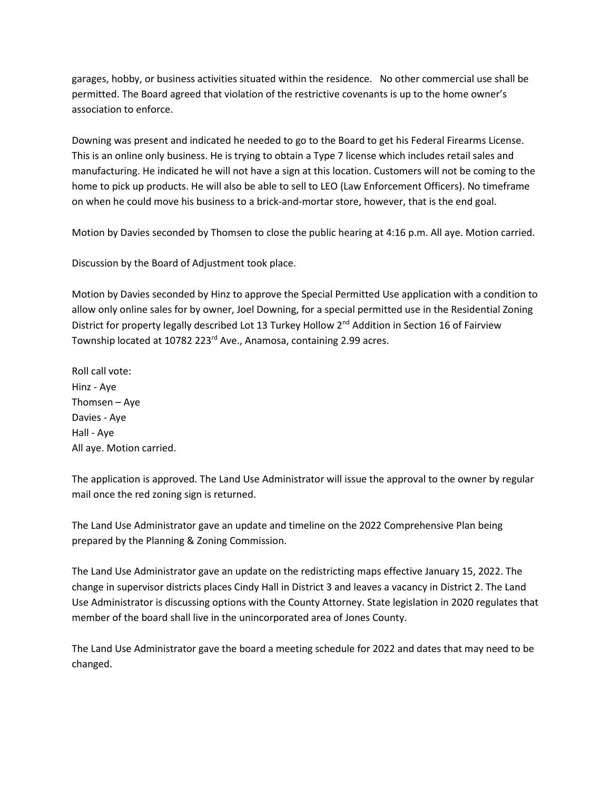garages, hobby, or business activities situated within the residence. No other commercial use shall be permitted. The Board agreed that violation of the restrictive covenants is up to the home owner's association to enforce.

Downing was present and indicated he needed to go to the Board to get his Federal Firearms License. This is an online only business. He is trying to obtain a Type 7 license which includes retail sales and manufacturing. He indicated he will not have a sign at this location. Customers will not be coming to the home to pick up products. He will also be able to sell to LEO (Law Enforcement Officers). No timeframe on when he could move his business to a brick-and-mortar store, however, that is the end goal.

Motion by Davies seconded by Thomsen to close the public hearing at 4:16 p.m. All aye. Motion carried.

Discussion by the Board of Adjustment took place.

Motion by Davies seconded by Hinz to approve the Special Permitted Use application with a condition to allow only online sales for by owner, Joel Downing, for a special permitted use in the Residential Zoning District for property legally described Lot 13 Turkey Hollow 2<sup>nd</sup> Addition in Section 16 of Fairview Township located at 10782 223<sup>rd</sup> Ave., Anamosa, containing 2.99 acres.

Roll call vote: Hinz - Aye Thomsen – Aye Davies - Aye Hall - Aye All aye. Motion carried.

The application is approved. The Land Use Administrator will issue the approval to the owner by regular mail once the red zoning sign is returned.

The Land Use Administrator gave an update and timeline on the 2022 Comprehensive Plan being prepared by the Planning & Zoning Commission.

The Land Use Administrator gave an update on the redistricting maps effective January 15, 2022. The change in supervisor districts places Cindy Hall in District 3 and leaves a vacancy in District 2. The Land Use Administrator is discussing options with the County Attorney. State legislation in 2020 regulates that member of the board shall live in the unincorporated area of Jones County.

The Land Use Administrator gave the board a meeting schedule for 2022 and dates that may need to be changed.